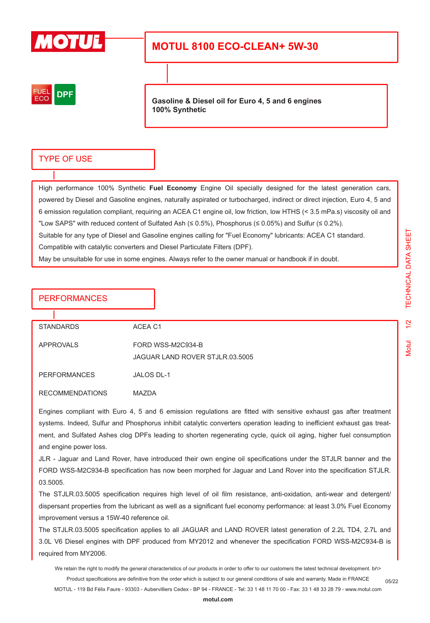

# **MOTUL 8100 ECO-CLEAN+ 5W-30**



**Gasoline & Diesel oil for Euro 4, 5 and 6 engines 100% Synthetic**

## TYPE OF USE

High performance 100% Synthetic **Fuel Economy** Engine Oil specially designed for the latest generation cars, powered by Diesel and Gasoline engines, naturally aspirated or turbocharged, indirect or direct injection, Euro 4, 5 and 6 emission regulation compliant, requiring an ACEA C1 engine oil, low friction, low HTHS (< 3.5 mPa.s) viscosity oil and "Low SAPS" with reduced content of Sulfated Ash ( $\leq 0.5\%$ ), Phosphorus ( $\leq 0.05\%$ ) and Sulfur ( $\leq 0.2\%$ ). Suitable for any type of Diesel and Gasoline engines calling for "Fuel Economy" lubricants: ACEA C1 standard.

Compatible with catalytic converters and Diesel Particulate Filters (DPF).

ACEA C1

May be unsuitable for use in some engines. Always refer to the owner manual or handbook if in doubt.

## **PERFORMANCES**

| <b>STANDARDS</b> |  |
|------------------|--|
|                  |  |

APPROVALS FORD WSS-M2C934-B JAGUAR LAND ROVER STJLR.03.5005

PERFORMANCES JALOS DL-1

RECOMMENDATIONS MAZDA

Engines compliant with Euro 4, 5 and 6 emission regulations are fitted with sensitive exhaust gas after treatment systems. Indeed, Sulfur and Phosphorus inhibit catalytic converters operation leading to inefficient exhaust gas treatment, and Sulfated Ashes clog DPFs leading to shorten regenerating cycle, quick oil aging, higher fuel consumption and engine power loss.

JLR - Jaguar and Land Rover, have introduced their own engine oil specifications under the STJLR banner and the FORD WSS-M2C934-B specification has now been morphed for Jaguar and Land Rover into the specification STJLR. 03.5005.

The STJLR.03.5005 specification requires high level of oil film resistance, anti-oxidation, anti-wear and detergent/ dispersant properties from the lubricant as well as a significant fuel economy performance: at least 3.0% Fuel Economy improvement versus a 15W-40 reference oil.

The STJLR.03.5005 specification applies to all JAGUAR and LAND ROVER latest generation of 2.2L TD4, 2.7L and 3.0L V6 Diesel engines with DPF produced from MY2012 and whenever the specification FORD WSS-M2C934-B is required from MY2006.

We retain the right to modify the general characteristics of our products in order to offer to our customers the latest technical development. br\> Product specifications are definitive from the order which is subject to our general conditions of sale and warranty. Made in FRANCE MOTUL - 119 Bd Félix Faure - 93303 - Aubervilliers Cedex - BP 94 - FRANCE - Tel: 33 1 48 11 70 00 - Fax: 33 1 48 33 28 79 - www.motul.com

05/22